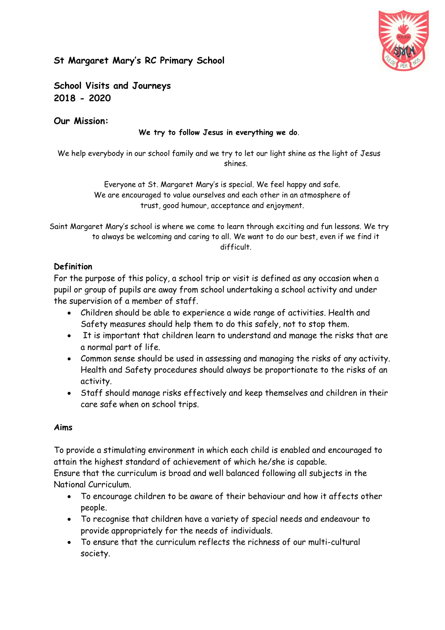

# **St Margaret Mary's RC Primary School**

**School Visits and Journeys 2018 - 2020**

### **Our Mission:**

#### **We try to follow Jesus in everything we do**.

We help everybody in our school family and we try to let our light shine as the light of Jesus shines.

> Everyone at St. Margaret Mary's is special. We feel happy and safe. We are encouraged to value ourselves and each other in an atmosphere of trust, good humour, acceptance and enjoyment.

Saint Margaret Mary's school is where we come to learn through exciting and fun lessons. We try to always be welcoming and caring to all. We want to do our best, even if we find it difficult.

# **Definition**

For the purpose of this policy, a school trip or visit is defined as any occasion when a pupil or group of pupils are away from school undertaking a school activity and under the supervision of a member of staff.

- Children should be able to experience a wide range of activities. Health and Safety measures should help them to do this safely, not to stop them.
- It is important that children learn to understand and manage the risks that are a normal part of life.
- Common sense should be used in assessing and managing the risks of any activity. Health and Safety procedures should always be proportionate to the risks of an activity.
- Staff should manage risks effectively and keep themselves and children in their care safe when on school trips.

### **Aims**

To provide a stimulating environment in which each child is enabled and encouraged to attain the highest standard of achievement of which he/she is capable.

Ensure that the curriculum is broad and well balanced following all subjects in the National Curriculum.

- To encourage children to be aware of their behaviour and how it affects other people.
- To recognise that children have a variety of special needs and endeavour to provide appropriately for the needs of individuals.
- To ensure that the curriculum reflects the richness of our multi-cultural society.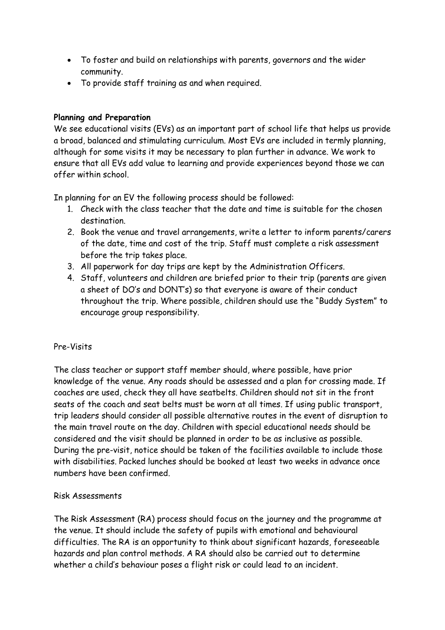- To foster and build on relationships with parents, governors and the wider community.
- To provide staff training as and when required.

# **Planning and Preparation**

We see educational visits (EVs) as an important part of school life that helps us provide a broad, balanced and stimulating curriculum. Most EVs are included in termly planning, although for some visits it may be necessary to plan further in advance. We work to ensure that all EVs add value to learning and provide experiences beyond those we can offer within school.

In planning for an EV the following process should be followed:

- 1. Check with the class teacher that the date and time is suitable for the chosen destination.
- 2. Book the venue and travel arrangements, write a letter to inform parents/carers of the date, time and cost of the trip. Staff must complete a risk assessment before the trip takes place.
- 3. All paperwork for day trips are kept by the Administration Officers.
- 4. Staff, volunteers and children are briefed prior to their trip (parents are given a sheet of DO's and DONT's) so that everyone is aware of their conduct throughout the trip. Where possible, children should use the "Buddy System" to encourage group responsibility.

### Pre-Visits

The class teacher or support staff member should, where possible, have prior knowledge of the venue. Any roads should be assessed and a plan for crossing made. If coaches are used, check they all have seatbelts. Children should not sit in the front seats of the coach and seat belts must be worn at all times. If using public transport, trip leaders should consider all possible alternative routes in the event of disruption to the main travel route on the day. Children with special educational needs should be considered and the visit should be planned in order to be as inclusive as possible. During the pre-visit, notice should be taken of the facilities available to include those with disabilities. Packed lunches should be booked at least two weeks in advance once numbers have been confirmed.

# Risk Assessments

The Risk Assessment (RA) process should focus on the journey and the programme at the venue. It should include the safety of pupils with emotional and behavioural difficulties. The RA is an opportunity to think about significant hazards, foreseeable hazards and plan control methods. A RA should also be carried out to determine whether a child's behaviour poses a flight risk or could lead to an incident.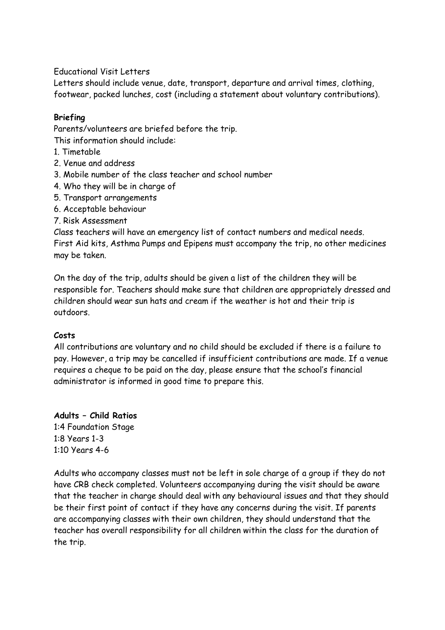Educational Visit Letters

Letters should include venue, date, transport, departure and arrival times, clothing, footwear, packed lunches, cost (including a statement about voluntary contributions).

### **Briefing**

Parents/volunteers are briefed before the trip.

This information should include:

- 1. Timetable
- 2. Venue and address
- 3. Mobile number of the class teacher and school number
- 4. Who they will be in charge of
- 5. Transport arrangements
- 6. Acceptable behaviour
- 7. Risk Assessment

Class teachers will have an emergency list of contact numbers and medical needs. First Aid kits, Asthma Pumps and Epipens must accompany the trip, no other medicines may be taken.

On the day of the trip, adults should be given a list of the children they will be responsible for. Teachers should make sure that children are appropriately dressed and children should wear sun hats and cream if the weather is hot and their trip is outdoors.

### **Costs**

All contributions are voluntary and no child should be excluded if there is a failure to pay. However, a trip may be cancelled if insufficient contributions are made. If a venue requires a cheque to be paid on the day, please ensure that the school's financial administrator is informed in good time to prepare this.

**Adults – Child Ratios** 1:4 Foundation Stage 1:8 Years 1-3 1:10 Years 4-6

Adults who accompany classes must not be left in sole charge of a group if they do not have CRB check completed. Volunteers accompanying during the visit should be aware that the teacher in charge should deal with any behavioural issues and that they should be their first point of contact if they have any concerns during the visit. If parents are accompanying classes with their own children, they should understand that the teacher has overall responsibility for all children within the class for the duration of the trip.